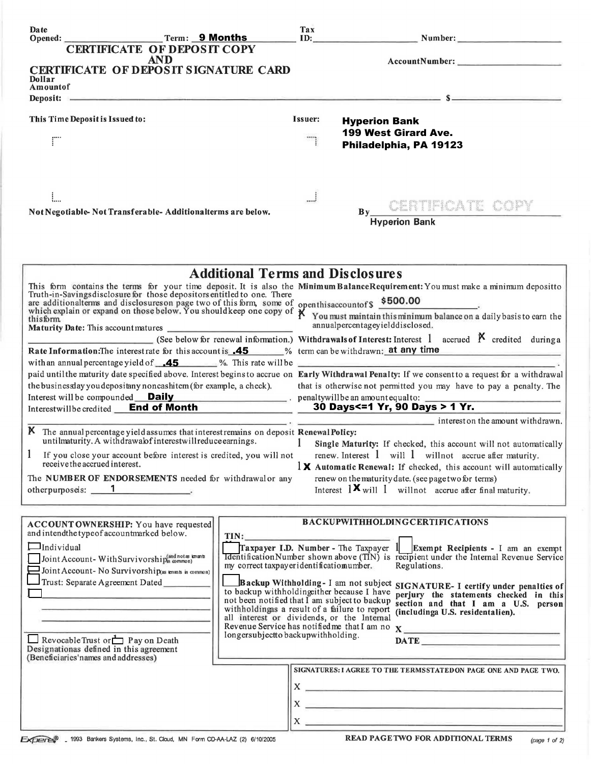| Date<br>Term: 9 Months                                                                                                                                                                                                                         |                                                                                                | Tax                                                                | ID: the contract of the contract of the contract of the contract of the contract of the contract of the contract of the contract of the contract of the contract of the contract of the contract of the contract of the contra | Number:                                                                                                                                                                                                                                                                                                           |
|------------------------------------------------------------------------------------------------------------------------------------------------------------------------------------------------------------------------------------------------|------------------------------------------------------------------------------------------------|--------------------------------------------------------------------|--------------------------------------------------------------------------------------------------------------------------------------------------------------------------------------------------------------------------------|-------------------------------------------------------------------------------------------------------------------------------------------------------------------------------------------------------------------------------------------------------------------------------------------------------------------|
| <b>CERTIFICATE OF DEPOSIT COPY</b>                                                                                                                                                                                                             |                                                                                                |                                                                    |                                                                                                                                                                                                                                |                                                                                                                                                                                                                                                                                                                   |
| AND                                                                                                                                                                                                                                            |                                                                                                |                                                                    |                                                                                                                                                                                                                                |                                                                                                                                                                                                                                                                                                                   |
| <b>CERTIFICATE OF DEPOSIT SIGNATURE CARD</b><br>Dollar                                                                                                                                                                                         |                                                                                                |                                                                    |                                                                                                                                                                                                                                |                                                                                                                                                                                                                                                                                                                   |
| Amountof<br>Deposit: Sample and the second contract of the second contract of the second contract of the second contract of the second contract of the second contract of the second contract of the second contract of the second contrac     |                                                                                                |                                                                    |                                                                                                                                                                                                                                |                                                                                                                                                                                                                                                                                                                   |
|                                                                                                                                                                                                                                                |                                                                                                |                                                                    |                                                                                                                                                                                                                                |                                                                                                                                                                                                                                                                                                                   |
| This Time Deposit is Issued to:                                                                                                                                                                                                                |                                                                                                | Issuer:                                                            | <b>Hyperion Bank</b>                                                                                                                                                                                                           |                                                                                                                                                                                                                                                                                                                   |
|                                                                                                                                                                                                                                                |                                                                                                |                                                                    |                                                                                                                                                                                                                                | 199 West Girard Ave.                                                                                                                                                                                                                                                                                              |
|                                                                                                                                                                                                                                                |                                                                                                |                                                                    |                                                                                                                                                                                                                                | Philadelphia, PA 19123                                                                                                                                                                                                                                                                                            |
|                                                                                                                                                                                                                                                |                                                                                                |                                                                    |                                                                                                                                                                                                                                |                                                                                                                                                                                                                                                                                                                   |
|                                                                                                                                                                                                                                                |                                                                                                |                                                                    |                                                                                                                                                                                                                                |                                                                                                                                                                                                                                                                                                                   |
|                                                                                                                                                                                                                                                |                                                                                                | J                                                                  |                                                                                                                                                                                                                                |                                                                                                                                                                                                                                                                                                                   |
|                                                                                                                                                                                                                                                |                                                                                                |                                                                    | $\mathbf{B}\mathbf{v}$                                                                                                                                                                                                         | CENTRATE COPY                                                                                                                                                                                                                                                                                                     |
| Not Negotiable-Not Transferable-Additionalterms are below.                                                                                                                                                                                     |                                                                                                | <b>Hyperion Bank</b>                                               |                                                                                                                                                                                                                                |                                                                                                                                                                                                                                                                                                                   |
|                                                                                                                                                                                                                                                |                                                                                                |                                                                    |                                                                                                                                                                                                                                |                                                                                                                                                                                                                                                                                                                   |
|                                                                                                                                                                                                                                                |                                                                                                |                                                                    |                                                                                                                                                                                                                                |                                                                                                                                                                                                                                                                                                                   |
|                                                                                                                                                                                                                                                |                                                                                                |                                                                    |                                                                                                                                                                                                                                |                                                                                                                                                                                                                                                                                                                   |
|                                                                                                                                                                                                                                                | <b>Additional Terms and Disclosures</b>                                                        |                                                                    |                                                                                                                                                                                                                                |                                                                                                                                                                                                                                                                                                                   |
|                                                                                                                                                                                                                                                |                                                                                                |                                                                    |                                                                                                                                                                                                                                |                                                                                                                                                                                                                                                                                                                   |
| This form contains the terms for your time deposit. It is also the Minimum BalanceRequirement: You must make a minimum deposition<br>Truth-in-Savingsdisclosure for those depositors entitled to one. There<br>are additionalterms<br>thisform |                                                                                                |                                                                    |                                                                                                                                                                                                                                |                                                                                                                                                                                                                                                                                                                   |
|                                                                                                                                                                                                                                                |                                                                                                | annualpercentageyielddisclosed.                                    |                                                                                                                                                                                                                                |                                                                                                                                                                                                                                                                                                                   |
|                                                                                                                                                                                                                                                |                                                                                                |                                                                    |                                                                                                                                                                                                                                | (See below for renewal information.) Withdrawals of Interest: Interest 1 accrued $\boldsymbol{\beta}$ credited during a                                                                                                                                                                                           |
| Rate Information: The interest rate for this account is <b>.45</b> % term can be withdrawn: at any time                                                                                                                                        |                                                                                                |                                                                    |                                                                                                                                                                                                                                |                                                                                                                                                                                                                                                                                                                   |
| with an annual percentage yield of $\sqrt{45}$ %. This rate will be                                                                                                                                                                            |                                                                                                |                                                                    |                                                                                                                                                                                                                                |                                                                                                                                                                                                                                                                                                                   |
| paid until the maturity date specified above. Interest begins to accrue on Early Withdrawal Penalty: If we consent to a request for a withdrawal                                                                                               |                                                                                                |                                                                    |                                                                                                                                                                                                                                |                                                                                                                                                                                                                                                                                                                   |
| the businessday you depositany noncashitem (for example, a check).<br>Interest will be compounded <b>Daily</b> entertainment of penaltywill be an amount equal to:                                                                             |                                                                                                | that is otherwise not permitted you may have to pay a penalty. The |                                                                                                                                                                                                                                |                                                                                                                                                                                                                                                                                                                   |
| Interestwillbe credited <b>End of Month</b>                                                                                                                                                                                                    |                                                                                                | 30 Days<=1 Yr, 90 Days > 1 Yr.                                     |                                                                                                                                                                                                                                |                                                                                                                                                                                                                                                                                                                   |
|                                                                                                                                                                                                                                                |                                                                                                |                                                                    |                                                                                                                                                                                                                                | $\frac{1}{2}$ interest on the amount withdrawn.                                                                                                                                                                                                                                                                   |
| K The annual percentage yield assumes that interest remains on deposit Renewal Policy:<br>untilmaturity. A withdrawalof interestwillreduce earnings.                                                                                           |                                                                                                |                                                                    |                                                                                                                                                                                                                                |                                                                                                                                                                                                                                                                                                                   |
| If you close your account before interest is credited, you will not                                                                                                                                                                            |                                                                                                | $\mathbf{1}$                                                       |                                                                                                                                                                                                                                | Single Maturity: If checked, this account will not automatically<br>renew. Interest $1$ will $1$ will not accrue after maturity.                                                                                                                                                                                  |
| receive the accrued interest.                                                                                                                                                                                                                  |                                                                                                |                                                                    |                                                                                                                                                                                                                                | $1 \times$ Automatic Renewal: If checked, this account will automatically                                                                                                                                                                                                                                         |
| The NUMBER OF ENDORSEMENTS needed for withdrawal or any                                                                                                                                                                                        |                                                                                                |                                                                    |                                                                                                                                                                                                                                | renew on the maturity date. (see page two for terms)                                                                                                                                                                                                                                                              |
| otherpurposeis: 1                                                                                                                                                                                                                              |                                                                                                |                                                                    |                                                                                                                                                                                                                                | Interest $1 \times$ will 1 will not accrue after final maturity.                                                                                                                                                                                                                                                  |
|                                                                                                                                                                                                                                                |                                                                                                |                                                                    |                                                                                                                                                                                                                                |                                                                                                                                                                                                                                                                                                                   |
| ACCOUNT OWNERSHIP: You have requested                                                                                                                                                                                                          |                                                                                                |                                                                    |                                                                                                                                                                                                                                | <b>BACKUPWITHHOLDINGCERTIFICATIONS</b>                                                                                                                                                                                                                                                                            |
| and intendthe typeof accountmarked below.                                                                                                                                                                                                      | TIN:                                                                                           |                                                                    |                                                                                                                                                                                                                                |                                                                                                                                                                                                                                                                                                                   |
| $\Box$ Individual                                                                                                                                                                                                                              |                                                                                                |                                                                    |                                                                                                                                                                                                                                | Traxpayer I.D. Number - The Taxpayer $1$ Exempt Recipients - I am an exempt                                                                                                                                                                                                                                       |
| Joint Account-With Survivorship <sup>(and not</sup> as knants)<br>Joint Account- No Survivorship(as tenants in common)                                                                                                                         | my correct taxpayer identificatiomumber.                                                       |                                                                    |                                                                                                                                                                                                                                | <b>Identification Number shown above (TIN)</b> is recipient under the Internal Revenue Service<br>Regulations.                                                                                                                                                                                                    |
| Trust: Separate Agreement Dated                                                                                                                                                                                                                |                                                                                                |                                                                    |                                                                                                                                                                                                                                |                                                                                                                                                                                                                                                                                                                   |
|                                                                                                                                                                                                                                                | to backup withholdingeither because I have                                                     |                                                                    |                                                                                                                                                                                                                                | Backup Withholding-I am not subject SIGNATURE-I certify under penalties of<br>perjury the statements checked in this                                                                                                                                                                                              |
|                                                                                                                                                                                                                                                | not been notified that I am subject to backup<br>withholdingas a result of a failure to report |                                                                    |                                                                                                                                                                                                                                | section and that I am a U.S. person<br>(includinga U.S. residentalien).                                                                                                                                                                                                                                           |
|                                                                                                                                                                                                                                                | all interest or dividends, or the Internal                                                     |                                                                    |                                                                                                                                                                                                                                |                                                                                                                                                                                                                                                                                                                   |
| Revocable Trust or $\Box$ P ay on Death                                                                                                                                                                                                        | longersubjectto backupwithholding.                                                             |                                                                    |                                                                                                                                                                                                                                | DATE RESERVE AND DESCRIPTION OF REAL PROPERTY.                                                                                                                                                                                                                                                                    |
| Designationas defined in this agreement                                                                                                                                                                                                        |                                                                                                |                                                                    |                                                                                                                                                                                                                                |                                                                                                                                                                                                                                                                                                                   |
| (Beneficiaries'names and addresses)                                                                                                                                                                                                            |                                                                                                |                                                                    |                                                                                                                                                                                                                                | SIGNATURES: I AGREE TO THE TERMSSTATEDON PAGE ONE AND PAGE TWO.                                                                                                                                                                                                                                                   |
|                                                                                                                                                                                                                                                |                                                                                                |                                                                    |                                                                                                                                                                                                                                |                                                                                                                                                                                                                                                                                                                   |
|                                                                                                                                                                                                                                                |                                                                                                |                                                                    |                                                                                                                                                                                                                                | $X \sim$                                                                                                                                                                                                                                                                                                          |
|                                                                                                                                                                                                                                                |                                                                                                |                                                                    |                                                                                                                                                                                                                                | $X \longrightarrow 1$                                                                                                                                                                                                                                                                                             |
|                                                                                                                                                                                                                                                |                                                                                                |                                                                    |                                                                                                                                                                                                                                | $X_{\text{max}}$ and $X_{\text{max}}$ are the set of $X_{\text{max}}$ and $X_{\text{max}}$ are the set of $X_{\text{max}}$ and $X_{\text{max}}$ are the set of $X_{\text{max}}$ and $X_{\text{max}}$ are the set of $X_{\text{max}}$ and $X_{\text{max}}$ are the set of $X_{\text{max}}$ and $X_{\text{max}}$ ar |
| EXperts <sup>0</sup> _ 1993 Bankers Systems, Inc., St. Cloud, MN Form CD-AA-LAZ (2) 6/10/2005                                                                                                                                                  |                                                                                                |                                                                    |                                                                                                                                                                                                                                | <b>READ PAGETWO FOR ADDITIONAL TERMS</b><br>(page 1 of 2)                                                                                                                                                                                                                                                         |